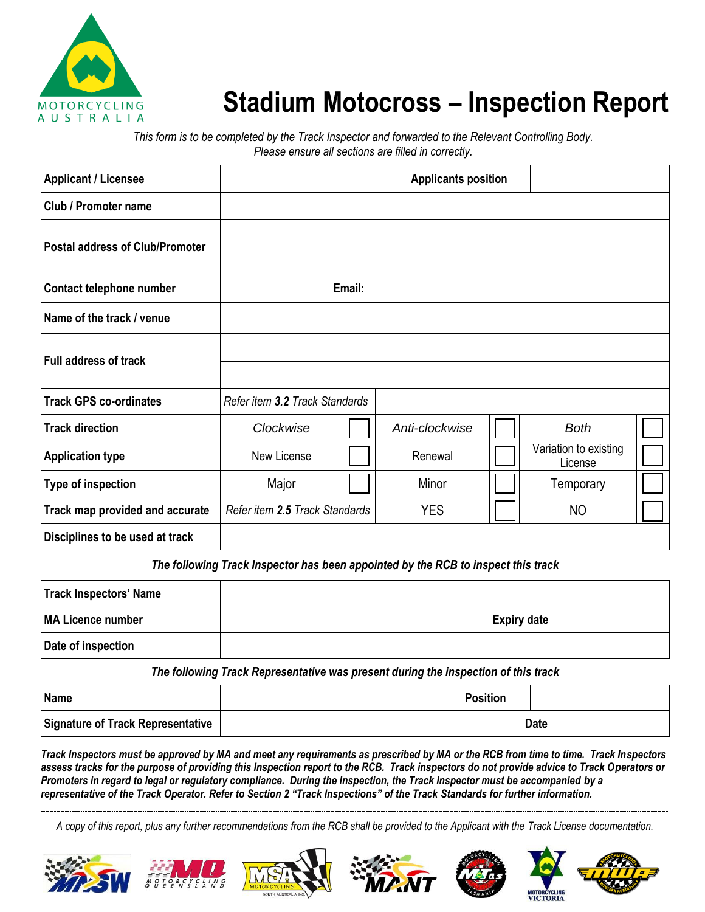

## **Stadium Motocross – Inspection Report**

*This form is to be completed by the Track Inspector and forwarded to the Relevant Controlling Body. Please ensure all sections are filled in correctly.*

| <b>Applicant / Licensee</b>            |                                |        | <b>Applicants position</b> |                                  |  |
|----------------------------------------|--------------------------------|--------|----------------------------|----------------------------------|--|
| <b>Club / Promoter name</b>            |                                |        |                            |                                  |  |
| <b>Postal address of Club/Promoter</b> |                                |        |                            |                                  |  |
| Contact telephone number               |                                | Email: |                            |                                  |  |
| Name of the track / venue              |                                |        |                            |                                  |  |
| <b>Full address of track</b>           |                                |        |                            |                                  |  |
|                                        |                                |        |                            |                                  |  |
| <b>Track GPS co-ordinates</b>          | Refer item 3.2 Track Standards |        |                            |                                  |  |
| <b>Track direction</b>                 | Clockwise                      |        | Anti-clockwise             | <b>Both</b>                      |  |
| <b>Application type</b>                | New License                    |        | Renewal                    | Variation to existing<br>License |  |
| Type of inspection                     | Major                          |        | Minor                      | Temporary                        |  |
| Track map provided and accurate        | Refer item 2.5 Track Standards |        | <b>YES</b>                 | <b>NO</b>                        |  |
| Disciplines to be used at track        |                                |        |                            |                                  |  |

*The following Track Inspector has been appointed by the RCB to inspect this track* Re-Licence

| Track Inspectors' Name |                    |  |
|------------------------|--------------------|--|
| MA Licence number      | <b>Expiry date</b> |  |
| Date of inspection     |                    |  |

*The following Track Representative was present during the inspection of this track*

| Name                                     | <b>Position</b> |             |  |
|------------------------------------------|-----------------|-------------|--|
| <b>Signature of Track Representative</b> |                 | <b>Date</b> |  |

*Track Inspectors must be approved by MA and meet any requirements as prescribed by MA or the RCB from time to time. Track Inspectors assess tracks for the purpose of providing this Inspection report to the RCB. Track inspectors do not provide advice to Track Operators or Promoters in regard to legal or regulatory compliance. During the Inspection, the Track Inspector must be accompanied by a representative of the Track Operator. Refer to Section 2 "Track Inspections" of the Track Standards for further information.*

*A copy of this report, plus any further recommendations from the RCB shall be provided to the Applicant with the Track License documentation.*













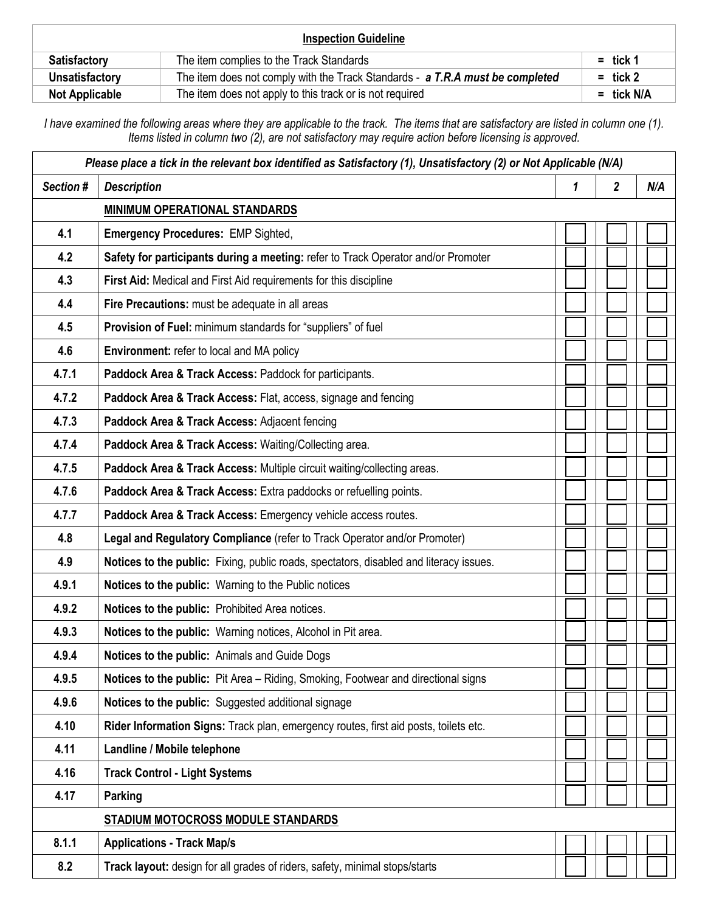| <b>Inspection Guideline</b> |                                                                               |              |  |
|-----------------------------|-------------------------------------------------------------------------------|--------------|--|
| <b>Satisfactory</b>         | The item complies to the Track Standards                                      | $=$ tick 1   |  |
| Unsatisfactory              | The item does not comply with the Track Standards - a T.R.A must be completed | $=$ tick 2   |  |
| <b>Not Applicable</b>       | The item does not apply to this track or is not required                      | $=$ tick N/A |  |

*I have examined the following areas where they are applicable to the track. The items that are satisfactory are listed in column one (1). Items listed in column two (2), are not satisfactory may require action before licensing is approved.*

| Please place a tick in the relevant box identified as Satisfactory (1), Unsatisfactory (2) or Not Applicable (N/A) |                                                                                        |   |                         |     |  |  |
|--------------------------------------------------------------------------------------------------------------------|----------------------------------------------------------------------------------------|---|-------------------------|-----|--|--|
| Section #                                                                                                          | <b>Description</b>                                                                     | 1 | $\overline{\mathbf{2}}$ | N/A |  |  |
|                                                                                                                    | <b>MINIMUM OPERATIONAL STANDARDS</b>                                                   |   |                         |     |  |  |
| 4.1                                                                                                                | <b>Emergency Procedures: EMP Sighted,</b>                                              |   |                         |     |  |  |
| 4.2                                                                                                                | Safety for participants during a meeting: refer to Track Operator and/or Promoter      |   |                         |     |  |  |
| 4.3                                                                                                                | First Aid: Medical and First Aid requirements for this discipline                      |   |                         |     |  |  |
| 4.4                                                                                                                | Fire Precautions: must be adequate in all areas                                        |   |                         |     |  |  |
| 4.5                                                                                                                | Provision of Fuel: minimum standards for "suppliers" of fuel                           |   |                         |     |  |  |
| 4.6                                                                                                                | Environment: refer to local and MA policy                                              |   |                         |     |  |  |
| 4.7.1                                                                                                              | Paddock Area & Track Access: Paddock for participants.                                 |   |                         |     |  |  |
| 4.7.2                                                                                                              | Paddock Area & Track Access: Flat, access, signage and fencing                         |   |                         |     |  |  |
| 4.7.3                                                                                                              | Paddock Area & Track Access: Adjacent fencing                                          |   |                         |     |  |  |
| 4.7.4                                                                                                              | Paddock Area & Track Access: Waiting/Collecting area.                                  |   |                         |     |  |  |
| 4.7.5                                                                                                              | Paddock Area & Track Access: Multiple circuit waiting/collecting areas.                |   |                         |     |  |  |
| 4.7.6                                                                                                              | Paddock Area & Track Access: Extra paddocks or refuelling points.                      |   |                         |     |  |  |
| 4.7.7                                                                                                              | Paddock Area & Track Access: Emergency vehicle access routes.                          |   |                         |     |  |  |
| 4.8                                                                                                                | Legal and Regulatory Compliance (refer to Track Operator and/or Promoter)              |   |                         |     |  |  |
| 4.9                                                                                                                | Notices to the public: Fixing, public roads, spectators, disabled and literacy issues. |   |                         |     |  |  |
| 4.9.1                                                                                                              | Notices to the public: Warning to the Public notices                                   |   |                         |     |  |  |
| 4.9.2                                                                                                              | Notices to the public: Prohibited Area notices.                                        |   |                         |     |  |  |
| 4.9.3                                                                                                              | Notices to the public: Warning notices, Alcohol in Pit area.                           |   |                         |     |  |  |
| 4.9.4                                                                                                              | Notices to the public: Animals and Guide Dogs                                          |   |                         |     |  |  |
| 4.9.5                                                                                                              | Notices to the public: Pit Area - Riding, Smoking, Footwear and directional signs      |   |                         |     |  |  |
| 4.9.6                                                                                                              | Notices to the public: Suggested additional signage                                    |   |                         |     |  |  |
| 4.10                                                                                                               | Rider Information Signs: Track plan, emergency routes, first aid posts, toilets etc.   |   |                         |     |  |  |
| 4.11                                                                                                               | Landline / Mobile telephone                                                            |   |                         |     |  |  |
| 4.16                                                                                                               | <b>Track Control - Light Systems</b>                                                   |   |                         |     |  |  |
| 4.17                                                                                                               | Parking                                                                                |   |                         |     |  |  |
|                                                                                                                    | STADIUM MOTOCROSS MODULE STANDARDS                                                     |   |                         |     |  |  |
| 8.1.1                                                                                                              | <b>Applications - Track Map/s</b>                                                      |   |                         |     |  |  |
| 8.2                                                                                                                | Track layout: design for all grades of riders, safety, minimal stops/starts            |   |                         |     |  |  |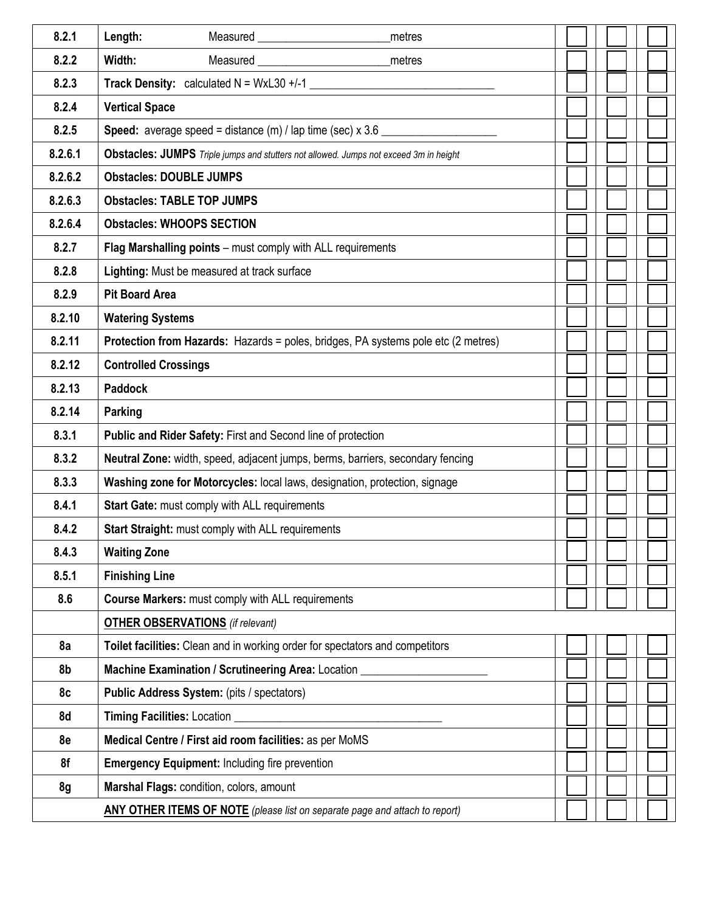| 8.2.1   | Length:<br>metres                                                                        |  |
|---------|------------------------------------------------------------------------------------------|--|
| 8.2.2   | <b>Measured Example 2006</b><br>Width:<br>metres                                         |  |
| 8.2.3   | <b>Track Density:</b> calculated $N = WxL30 + (-1)$                                      |  |
| 8.2.4   | <b>Vertical Space</b>                                                                    |  |
| 8.2.5   | <b>Speed:</b> average speed = distance $(m)$ / lap time (sec) $\times$ 3.6 _________     |  |
| 8.2.6.1 | Obstacles: JUMPS Triple jumps and stutters not allowed. Jumps not exceed 3m in height    |  |
| 8.2.6.2 | <b>Obstacles: DOUBLE JUMPS</b>                                                           |  |
| 8.2.6.3 | <b>Obstacles: TABLE TOP JUMPS</b>                                                        |  |
| 8.2.6.4 | <b>Obstacles: WHOOPS SECTION</b>                                                         |  |
| 8.2.7   | Flag Marshalling points - must comply with ALL requirements                              |  |
| 8.2.8   | Lighting: Must be measured at track surface                                              |  |
| 8.2.9   | <b>Pit Board Area</b>                                                                    |  |
| 8.2.10  | <b>Watering Systems</b>                                                                  |  |
| 8.2.11  | <b>Protection from Hazards:</b> Hazards = poles, bridges, PA systems pole etc (2 metres) |  |
| 8.2.12  | <b>Controlled Crossings</b>                                                              |  |
| 8.2.13  | <b>Paddock</b>                                                                           |  |
| 8.2.14  | <b>Parking</b>                                                                           |  |
| 8.3.1   | Public and Rider Safety: First and Second line of protection                             |  |
| 8.3.2   | Neutral Zone: width, speed, adjacent jumps, berms, barriers, secondary fencing           |  |
| 8.3.3   | Washing zone for Motorcycles: local laws, designation, protection, signage               |  |
| 8.4.1   | Start Gate: must comply with ALL requirements                                            |  |
| 8.4.2   | Start Straight: must comply with ALL requirements                                        |  |
| 8.4.3   | <b>Waiting Zone</b>                                                                      |  |
| 8.5.1   | <b>Finishing Line</b>                                                                    |  |
| 8.6     | <b>Course Markers: must comply with ALL requirements</b>                                 |  |
|         | <b>OTHER OBSERVATIONS</b> (if relevant)                                                  |  |
| 8a      | Toilet facilities: Clean and in working order for spectators and competitors             |  |
| 8b      | Machine Examination / Scrutineering Area: Location                                       |  |
| 8c      | Public Address System: (pits / spectators)                                               |  |
| 8d      | Timing Facilities: Location _                                                            |  |
| 8e      | Medical Centre / First aid room facilities: as per MoMS                                  |  |
| 8f      | <b>Emergency Equipment: Including fire prevention</b>                                    |  |
| 8g      | Marshal Flags: condition, colors, amount                                                 |  |
|         | <b>ANY OTHER ITEMS OF NOTE</b> (please list on separate page and attach to report)       |  |